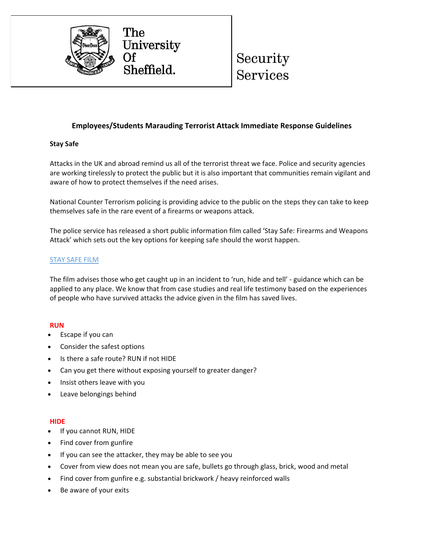

# Security

## **Employees/Students Marauding Terrorist Attack Immediate Response Guidelines**

## **Stay Safe**

Attacks in the UK and abroad remind us all of the terrorist threat we face. Police and security agencies are working tirelessly to protect the public but it is also important that communities remain vigilant and aware of how to protect themselves if the need arises.

National Counter Terrorism policing is providing advice to the public on the steps they can take to keep themselves safe in the rare event of a firearms or weapons attack.

The police service has released a short public information film called 'Stay Safe: Firearms and Weapons Attack' which sets out the key options for keeping safe should the worst happen.

## [STAY](https://www.youtube.com/watch?v=WDiv-PwEde4) SAFE FILM

The film advises those who get caught up in an incident to 'run, hide and tell' - guidance which can be applied to any place. We know that from case studies and real life testimony based on the experiences of people who have survived attacks the advice given in the film has saved lives.

### **RUN**

- Escape if you can
- Consider the safest options
- Is there a safe route? RUN if not HIDE
- Can you get there without exposing yourself to greater danger?
- Insist others leave with you
- Leave belongings behind

### **HIDE**

- If you cannot RUN, HIDE
- Find cover from gunfire
- If you can see the attacker, they may be able to see you
- Cover from view does not mean you are safe, bullets go through glass, brick, wood and metal
- Find cover from gunfire e.g. substantial brickwork / heavy reinforced walls
- Be aware of your exits